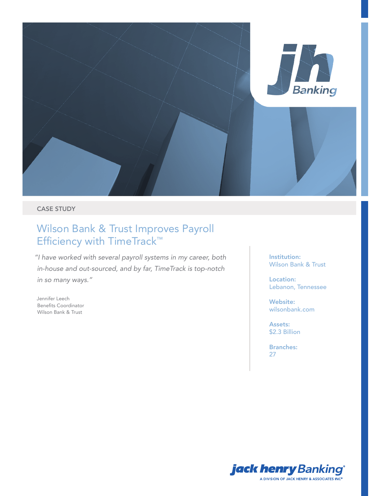

# CASE STUDY

# Wilson Bank & Trust Improves Payroll Efficiency with TimeTrack™

*"I have worked with several payroll systems in my career, both in-house and out-sourced, and by far, TimeTrack is top-notch in so many ways."*

Jennifer Leech Benefits Coordinator Wilson Bank & Trust

Institution: Wilson Bank & Trust

Location: Lebanon, Tennessee

Website: wilsonbank.com

Assets: \$2.3 Billion

Branches: 27